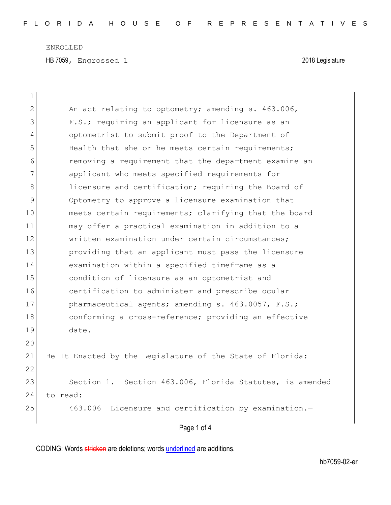ENROLLED

HB 7059, Engrossed 1 2018 Legislature

|                | Page 1 of 4                                               |
|----------------|-----------------------------------------------------------|
| 25             | 463.006 Licensure and certification by examination.-      |
| 24             | to read:                                                  |
| 23             | Section 1. Section 463.006, Florida Statutes, is amended  |
| 22             |                                                           |
| 21             | Be It Enacted by the Legislature of the State of Florida: |
| 20             |                                                           |
| 19             | date.                                                     |
| 18             | conforming a cross-reference; providing an effective      |
| 17             | pharmaceutical agents; amending s. 463.0057, F.S.;        |
| 16             | certification to administer and prescribe ocular          |
| 15             | condition of licensure as an optometrist and              |
| 14             | examination within a specified timeframe as a             |
| 13             | providing that an applicant must pass the licensure       |
| 12             | written examination under certain circumstances;          |
| 11             | may offer a practical examination in addition to a        |
| 10             | meets certain requirements; clarifying that the board     |
| 9              | Optometry to approve a licensure examination that         |
| 8              | licensure and certification; requiring the Board of       |
| 7              | applicant who meets specified requirements for            |
| 6              | removing a requirement that the department examine an     |
| 5              | Health that she or he meets certain requirements;         |
| 4              | optometrist to submit proof to the Department of          |
| 3              | F.S.; requiring an applicant for licensure as an          |
| $\overline{2}$ | An act relating to optometry; amending s. 463.006,        |
| 1              |                                                           |

CODING: Words stricken are deletions; words underlined are additions.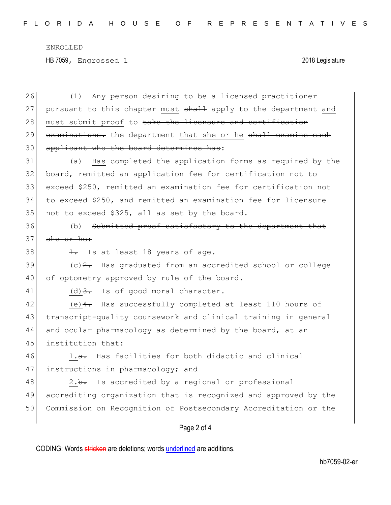ENROLLED HB 7059, Engrossed 1 2018 Legislature

Page 2 of 4 26 (1) Any person desiring to be a licensed practitioner 27 pursuant to this chapter must shall apply to the department and 28 must submit proof to take the licensure and certification 29 examinations. the department that she or he shall examine each 30 applicant who the board determines has: 31 (a) Has completed the application forms as required by the 32 board, remitted an application fee for certification not to 33 exceed \$250, remitted an examination fee for certification not 34 to exceed \$250, and remitted an examination fee for licensure 35 not to exceed \$325, all as set by the board. 36 (b) Submitted proof satisfactory to the department that 37 she or he: 38  $\frac{1}{1}$  Is at least 18 years of age.  $39$  (c)  $2$ . Has graduated from an accredited school or college 40 of optometry approved by rule of the board. 41 (d)  $3.5$  Is of good moral character. 42 (e) 4. Has successfully completed at least 110 hours of 43 transcript-quality coursework and clinical training in general 44 and ocular pharmacology as determined by the board, at an 45 institution that:  $46$  1.<del>a.</del> Has facilities for both didactic and clinical 47 instructions in pharmacology; and 48 2.b. Is accredited by a regional or professional 49 accrediting organization that is recognized and approved by the 50 Commission on Recognition of Postsecondary Accreditation or the

CODING: Words stricken are deletions; words underlined are additions.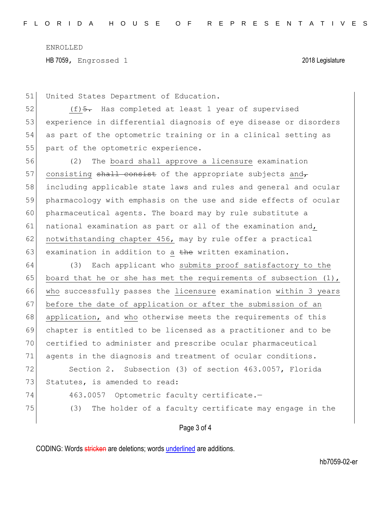ENROLLED HB 7059, Engrossed 1 2018 Legislature

51 United States Department of Education.

 $(f)$   $\frac{5}{7}$  Has completed at least 1 year of supervised experience in differential diagnosis of eye disease or disorders as part of the optometric training or in a clinical setting as 55 part of the optometric experience.

56 (2) The board shall approve a licensure examination 57 consisting  $shall$  consist of the appropriate subjects and 58 including applicable state laws and rules and general and ocular 59 pharmacology with emphasis on the use and side effects of ocular 60 pharmaceutical agents. The board may by rule substitute a 61 national examination as part or all of the examination and, 62 notwithstanding chapter 456, may by rule offer a practical 63 examination in addition to a the written examination.

64 (3) Each applicant who submits proof satisfactory to the 65 board that he or she has met the requirements of subsection  $(1)$ , 66 who successfully passes the licensure examination within 3 years 67 before the date of application or after the submission of an 68 application, and who otherwise meets the requirements of this 69 chapter is entitled to be licensed as a practitioner and to be 70 certified to administer and prescribe ocular pharmaceutical 71 agents in the diagnosis and treatment of ocular conditions. 72 Section 2. Subsection (3) of section 463.0057, Florida 73 Statutes, is amended to read: 74 463.0057 Optometric faculty certificate.-

75 (3) The holder of a faculty certificate may engage in the

Page 3 of 4

CODING: Words stricken are deletions; words underlined are additions.

hb7059-02-er